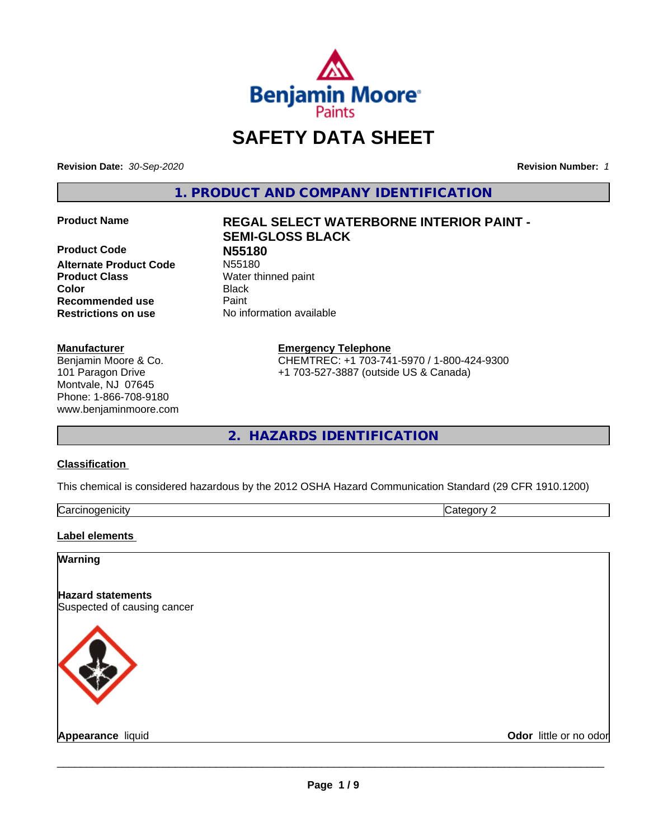

## **SAFETY DATA SHEET**

**Revision Date:** *30-Sep-2020* **Revision Number:** *1*

**1. PRODUCT AND COMPANY IDENTIFICATION**

**Product Code 1996**<br> **Alternate Product Code** N55180 **Alternate Product Code Product Class** Water thinned paint **Color** Black **Recommended use Caint Restrictions on use** No information available

### **Manufacturer**

Benjamin Moore & Co. 101 Paragon Drive Montvale, NJ 07645 Phone: 1-866-708-9180 www.benjaminmoore.com

# **Product Name REGAL SELECT WATERBORNE INTERIOR PAINT - SEMI-GLOSS BLACK**

**Emergency Telephone**

CHEMTREC: +1 703-741-5970 / 1-800-424-9300 +1 703-527-3887 (outside US & Canada)

**2. HAZARDS IDENTIFICATION**

### **Classification**

This chemical is considered hazardous by the 2012 OSHA Hazard Communication Standard (29 CFR 1910.1200)

| $\sim$<br>⊖ar<br>nı<br>. .<br>.<br> | .,<br>. .<br>. . |
|-------------------------------------|------------------|

### **Label elements**

### **Warning**

**Hazard statements** Suspected of causing cancer



**Appearance** liquid **CODO CONS CODO CODO CODO CODO CODO CODO CODO CODO CODO CODO CODO CODO CODO CODO CODO CODO CODO CODO CODO CODO CODO CODO CODO CODO CODO CODO CODO**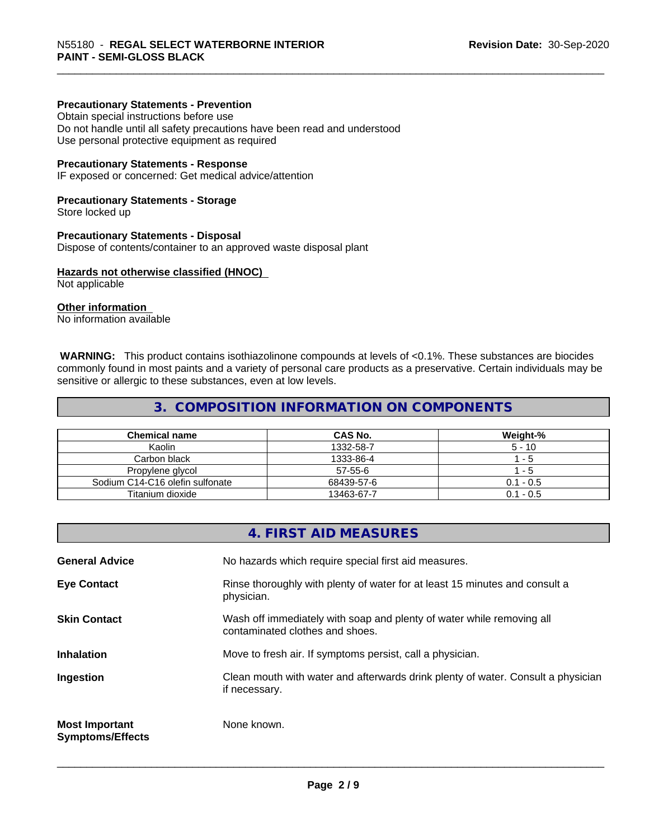#### **Precautionary Statements - Prevention**

Obtain special instructions before use Do not handle until all safety precautions have been read and understood Use personal protective equipment as required

#### **Precautionary Statements - Response**

IF exposed or concerned: Get medical advice/attention

#### **Precautionary Statements - Storage**

Store locked up

#### **Precautionary Statements - Disposal**

Dispose of contents/container to an approved waste disposal plant

#### **Hazards not otherwise classified (HNOC)**

Not applicable

### **Other information**

No information available

 **WARNING:** This product contains isothiazolinone compounds at levels of <0.1%. These substances are biocides commonly found in most paints and a variety of personal care products as a preservative. Certain individuals may be sensitive or allergic to these substances, even at low levels.

### **3. COMPOSITION INFORMATION ON COMPONENTS**

| <b>Chemical name</b>            | CAS No.    | Weight-%    |
|---------------------------------|------------|-------------|
| Kaolin                          | 1332-58-7  | $5 - 10$    |
| Carbon black                    | 1333-86-4  | - 5         |
| Propylene glycol                | 57-55-6    | - 5         |
| Sodium C14-C16 olefin sulfonate | 68439-57-6 | $0.1 - 0.5$ |
| Titanium dioxide                | 13463-67-7 | $0.1 - 0.5$ |

## **4. FIRST AID MEASURES General Advice** No hazards which require special first aid measures. **Eye Contact Rinse thoroughly with plenty of water for at least 15 minutes and consult a** physician. **Skin Contact** Wash off immediately with soap and plenty of water while removing all contaminated clothes and shoes. **Inhalation** Move to fresh air. If symptoms persist, call a physician. **Ingestion Exame Clean mouth with water and afterwards drink plenty of water. Consult a physician** if necessary. **Most Important Symptoms/Effects** None known.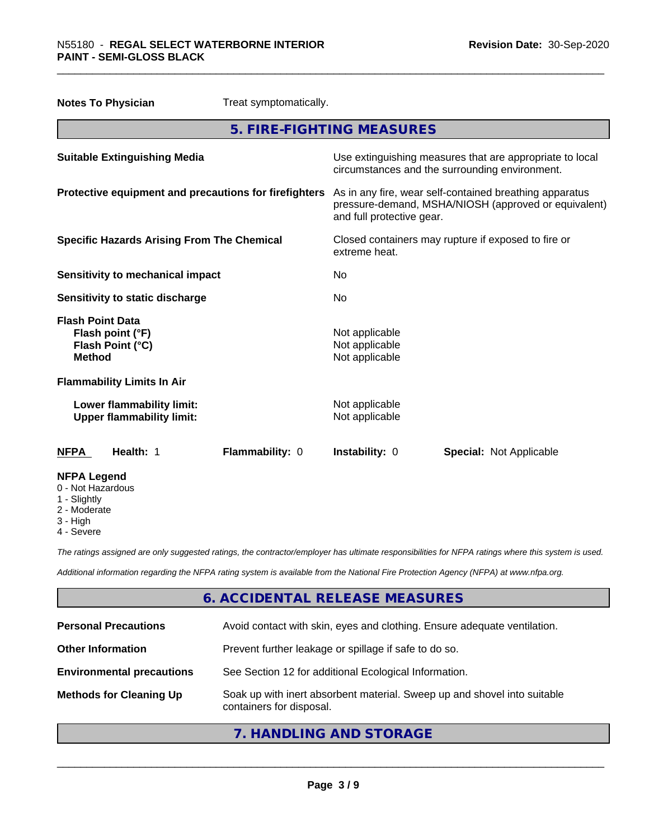| Treat symptomatically.<br><b>Notes To Physician</b>                              |                                                                                                                                              |
|----------------------------------------------------------------------------------|----------------------------------------------------------------------------------------------------------------------------------------------|
|                                                                                  | 5. FIRE-FIGHTING MEASURES                                                                                                                    |
| <b>Suitable Extinguishing Media</b>                                              | Use extinguishing measures that are appropriate to local<br>circumstances and the surrounding environment.                                   |
| Protective equipment and precautions for firefighters                            | As in any fire, wear self-contained breathing apparatus<br>pressure-demand, MSHA/NIOSH (approved or equivalent)<br>and full protective gear. |
| <b>Specific Hazards Arising From The Chemical</b>                                | Closed containers may rupture if exposed to fire or<br>extreme heat.                                                                         |
| <b>Sensitivity to mechanical impact</b>                                          | No.                                                                                                                                          |
| Sensitivity to static discharge                                                  | No                                                                                                                                           |
| <b>Flash Point Data</b><br>Flash point (°F)<br>Flash Point (°C)<br><b>Method</b> | Not applicable<br>Not applicable<br>Not applicable                                                                                           |
| <b>Flammability Limits In Air</b>                                                |                                                                                                                                              |
| Lower flammability limit:<br><b>Upper flammability limit:</b>                    | Not applicable<br>Not applicable                                                                                                             |
| Health: 1<br>Flammability: 0<br><b>NFPA</b>                                      | Instability: 0<br><b>Special: Not Applicable</b>                                                                                             |
| <b>NFPA Legend</b><br>0 - Not Hazardous<br>1 - Slightly                          |                                                                                                                                              |

- 2 Moderate
- 3 High
- 4 Severe

*The ratings assigned are only suggested ratings, the contractor/employer has ultimate responsibilities for NFPA ratings where this system is used.*

*Additional information regarding the NFPA rating system is available from the National Fire Protection Agency (NFPA) at www.nfpa.org.*

### **6. ACCIDENTAL RELEASE MEASURES**

| <b>Personal Precautions</b>      | Avoid contact with skin, eyes and clothing. Ensure adequate ventilation.                             |
|----------------------------------|------------------------------------------------------------------------------------------------------|
| <b>Other Information</b>         | Prevent further leakage or spillage if safe to do so.                                                |
| <b>Environmental precautions</b> | See Section 12 for additional Ecological Information.                                                |
| <b>Methods for Cleaning Up</b>   | Soak up with inert absorbent material. Sweep up and shovel into suitable<br>containers for disposal. |

### **7. HANDLING AND STORAGE**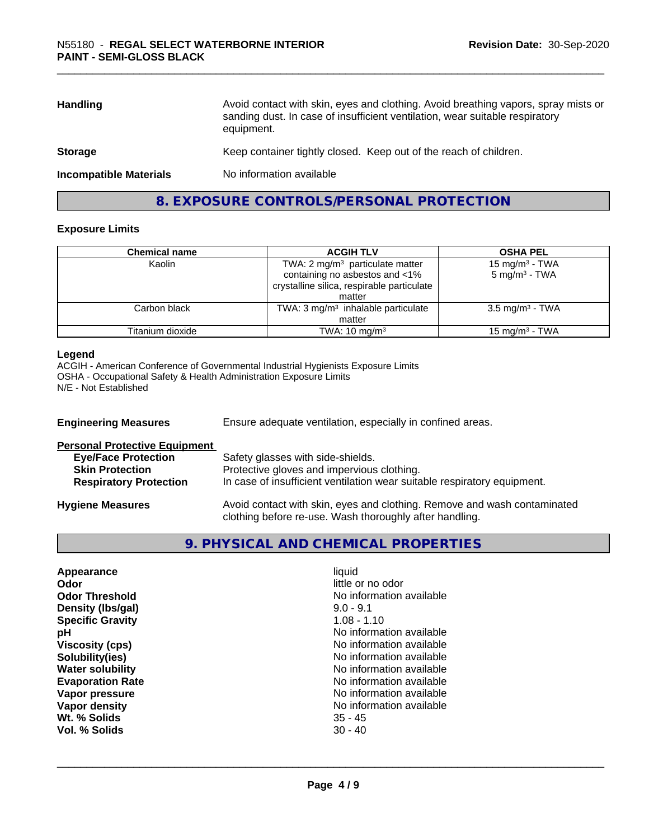| <b>Handling</b>               | Avoid contact with skin, eyes and clothing. Avoid breathing vapors, spray mists or<br>sanding dust. In case of insufficient ventilation, wear suitable respiratory<br>equipment. |
|-------------------------------|----------------------------------------------------------------------------------------------------------------------------------------------------------------------------------|
| <b>Storage</b>                | Keep container tightly closed. Keep out of the reach of children.                                                                                                                |
| <b>Incompatible Materials</b> | No information available                                                                                                                                                         |
|                               |                                                                                                                                                                                  |

**8. EXPOSURE CONTROLS/PERSONAL PROTECTION**

### **Exposure Limits**

| <b>Chemical name</b> | <b>ACGIH TLV</b>                                                                                                           | <b>OSHA PEL</b>                                           |
|----------------------|----------------------------------------------------------------------------------------------------------------------------|-----------------------------------------------------------|
| Kaolin               | TWA: $2 \text{ mg/m}^3$ particulate matter<br>containing no asbestos and <1%<br>crystalline silica, respirable particulate | 15 mg/m <sup>3</sup> - TWA<br>$5$ mg/m <sup>3</sup> - TWA |
|                      | matter                                                                                                                     |                                                           |
| Carbon black         | TWA: $3 \text{ mg/m}^3$ inhalable particulate<br>matter                                                                    | $3.5 \text{ mg/m}^3$ - TWA                                |
| Titanium dioxide     | TWA: $10 \text{ mg/m}^3$                                                                                                   | $15 \text{ mg/m}^3$ - TWA                                 |

### **Legend**

ACGIH - American Conference of Governmental Industrial Hygienists Exposure Limits OSHA - Occupational Safety & Health Administration Exposure Limits N/E - Not Established

| <b>Engineering Measures</b>          | Ensure adequate ventilation, especially in confined areas.                                                                          |  |
|--------------------------------------|-------------------------------------------------------------------------------------------------------------------------------------|--|
| <b>Personal Protective Equipment</b> |                                                                                                                                     |  |
| <b>Eye/Face Protection</b>           | Safety glasses with side-shields.                                                                                                   |  |
| <b>Skin Protection</b>               | Protective gloves and impervious clothing.                                                                                          |  |
| <b>Respiratory Protection</b>        | In case of insufficient ventilation wear suitable respiratory equipment.                                                            |  |
| <b>Hygiene Measures</b>              | Avoid contact with skin, eyes and clothing. Remove and wash contaminated<br>clothing before re-use. Wash thoroughly after handling. |  |

### **9. PHYSICAL AND CHEMICAL PROPERTIES**

| liauid<br>little or no odor<br>No information available<br>$9.0 - 9.1$<br>$1.08 - 1.10$<br>No information available<br>No information available<br>No information available<br>No information available<br>No information available<br>No information available<br>No information available |
|---------------------------------------------------------------------------------------------------------------------------------------------------------------------------------------------------------------------------------------------------------------------------------------------|
| $35 - 45$<br>$30 - 40$                                                                                                                                                                                                                                                                      |
|                                                                                                                                                                                                                                                                                             |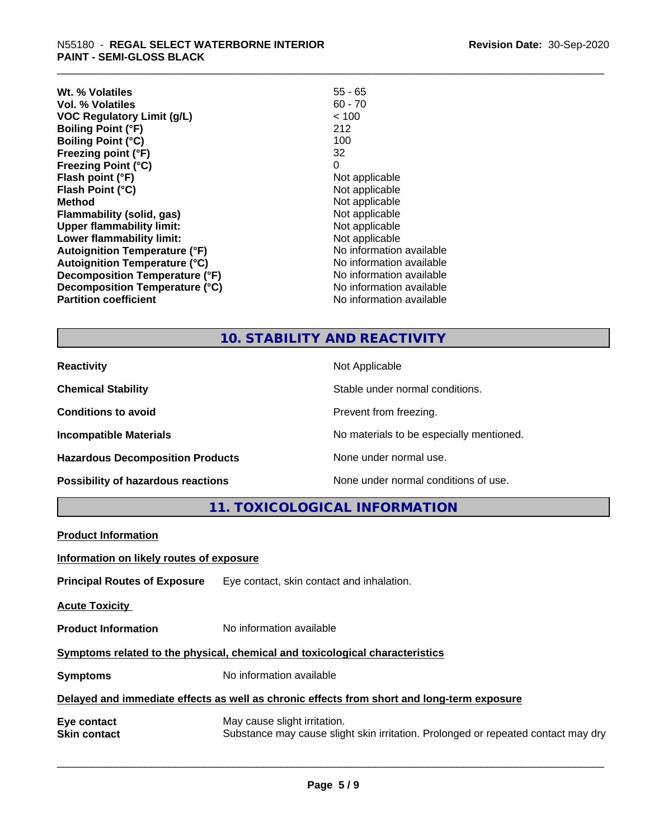| Wt. % Volatiles                      | 55 - 65                  |
|--------------------------------------|--------------------------|
| Vol. % Volatiles                     | $60 - 70$                |
| VOC Regulatory Limit (g/L)           | < 100                    |
| <b>Boiling Point (°F)</b>            | 212                      |
| <b>Boiling Point (°C)</b>            | 100                      |
| Freezing point (°F)                  | 32                       |
| <b>Freezing Point (°C)</b>           | 0                        |
| Flash point (°F)                     | Not applicable           |
| Flash Point (°C)                     | Not applicable           |
| Method                               | Not applicable           |
| Flammability (solid, gas)            | Not applicable           |
| <b>Upper flammability limit:</b>     | Not applicable           |
| Lower flammability limit:            | Not applicable           |
| <b>Autoignition Temperature (°F)</b> | No information available |
| <b>Autoignition Temperature (°C)</b> | No information available |
| Decomposition Temperature (°F)       | No information available |
| Decomposition Temperature (°C)       | No information available |
| <b>Partition coefficient</b>         | No information available |

### **10. STABILITY AND REACTIVITY**

| <b>Reactivity</b>                       | Not Applicable                           |
|-----------------------------------------|------------------------------------------|
| <b>Chemical Stability</b>               | Stable under normal conditions.          |
| <b>Conditions to avoid</b>              | Prevent from freezing.                   |
| <b>Incompatible Materials</b>           | No materials to be especially mentioned. |
| <b>Hazardous Decomposition Products</b> | None under normal use.                   |
| Possibility of hazardous reactions      | None under normal conditions of use.     |

**11. TOXICOLOGICAL INFORMATION**

| <b>Product Information</b>                                                                 |                                                                                                                   |  |
|--------------------------------------------------------------------------------------------|-------------------------------------------------------------------------------------------------------------------|--|
| Information on likely routes of exposure                                                   |                                                                                                                   |  |
| <b>Principal Routes of Exposure</b>                                                        | Eye contact, skin contact and inhalation.                                                                         |  |
| <b>Acute Toxicity</b>                                                                      |                                                                                                                   |  |
| <b>Product Information</b>                                                                 | No information available                                                                                          |  |
| Symptoms related to the physical, chemical and toxicological characteristics               |                                                                                                                   |  |
| <b>Symptoms</b>                                                                            | No information available                                                                                          |  |
| Delayed and immediate effects as well as chronic effects from short and long-term exposure |                                                                                                                   |  |
| Eye contact<br><b>Skin contact</b>                                                         | May cause slight irritation.<br>Substance may cause slight skin irritation. Prolonged or repeated contact may dry |  |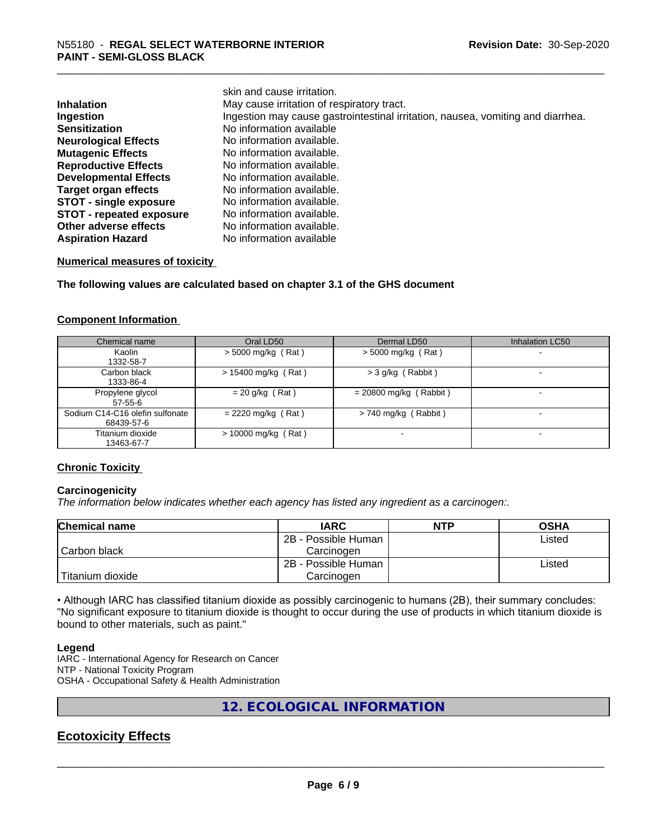|                                 | skin and cause irritation.                                                      |
|---------------------------------|---------------------------------------------------------------------------------|
| <b>Inhalation</b>               | May cause irritation of respiratory tract.                                      |
| <b>Ingestion</b>                | Ingestion may cause gastrointestinal irritation, nausea, vomiting and diarrhea. |
| <b>Sensitization</b>            | No information available                                                        |
| <b>Neurological Effects</b>     | No information available.                                                       |
| <b>Mutagenic Effects</b>        | No information available.                                                       |
| <b>Reproductive Effects</b>     | No information available.                                                       |
| <b>Developmental Effects</b>    | No information available.                                                       |
| Target organ effects            | No information available.                                                       |
| <b>STOT - single exposure</b>   | No information available.                                                       |
| <b>STOT - repeated exposure</b> | No information available.                                                       |
| Other adverse effects           | No information available.                                                       |
| <b>Aspiration Hazard</b>        | No information available                                                        |

### **Numerical measures of toxicity**

**The following values are calculated based on chapter 3.1 of the GHS document**

#### **Component Information**

| Chemical name                   | Oral LD50             | Dermal LD50              | Inhalation LC50 |
|---------------------------------|-----------------------|--------------------------|-----------------|
| Kaolin                          | $>$ 5000 mg/kg (Rat)  | $>$ 5000 mg/kg (Rat)     |                 |
| 1332-58-7                       |                       |                          |                 |
| Carbon black                    | $> 15400$ mg/kg (Rat) | $>$ 3 g/kg (Rabbit)      |                 |
| 1333-86-4                       |                       |                          |                 |
| Propylene glycol                | $= 20$ g/kg (Rat)     | $= 20800$ mg/kg (Rabbit) |                 |
| 57-55-6                         |                       |                          |                 |
| Sodium C14-C16 olefin sulfonate | $= 2220$ mg/kg (Rat)  | $> 740$ mg/kg (Rabbit)   |                 |
| 68439-57-6                      |                       |                          |                 |
| Titanium dioxide                | $> 10000$ mg/kg (Rat) |                          |                 |
| 13463-67-7                      |                       |                          |                 |

### **Chronic Toxicity**

### **Carcinogenicity**

*The information below indicateswhether each agency has listed any ingredient as a carcinogen:.*

| <b>Chemical name</b> | <b>IARC</b>         | <b>NTP</b> | <b>OSHA</b> |
|----------------------|---------------------|------------|-------------|
|                      | 2B - Possible Human |            | Listed      |
| Carbon black         | Carcinoɑen          |            |             |
|                      | 2B - Possible Human |            | Listed      |
| Titanium dioxide     | Carcinogen          |            |             |

• Although IARC has classified titanium dioxide as possibly carcinogenic to humans (2B), their summary concludes: "No significant exposure to titanium dioxide is thought to occur during the use of products in which titanium dioxide is bound to other materials, such as paint."

#### **Legend**

IARC - International Agency for Research on Cancer NTP - National Toxicity Program OSHA - Occupational Safety & Health Administration

### **12. ECOLOGICAL INFORMATION**

### **Ecotoxicity Effects**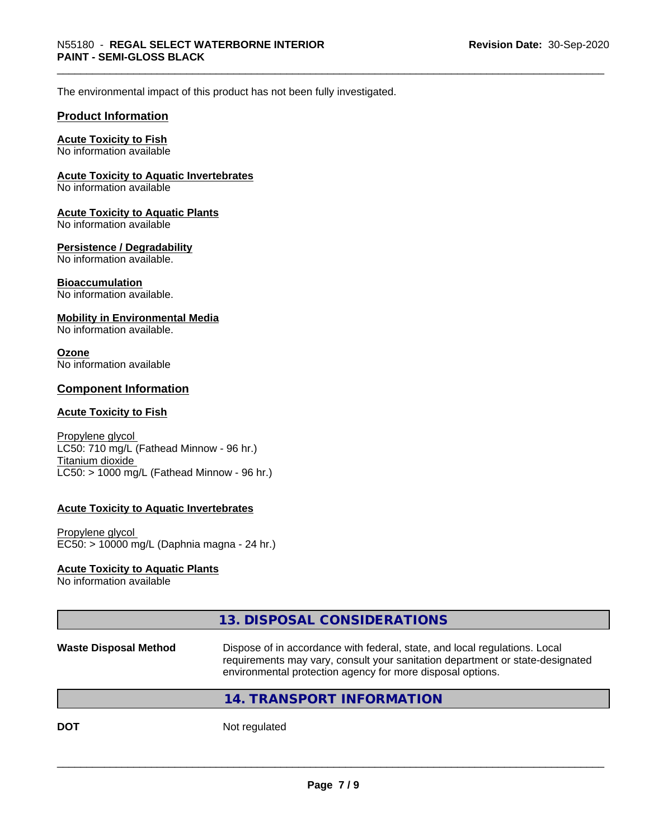The environmental impact of this product has not been fully investigated.

### **Product Information**

### **Acute Toxicity to Fish**

No information available

### **Acute Toxicity to Aquatic Invertebrates**

No information available

#### **Acute Toxicity to Aquatic Plants**

No information available

### **Persistence / Degradability**

No information available.

### **Bioaccumulation**

No information available.

### **Mobility in Environmental Media**

No information available.

### **Ozone**

No information available

### **Component Information**

#### **Acute Toxicity to Fish**

Propylene glycol LC50: 710 mg/L (Fathead Minnow - 96 hr.) Titanium dioxide  $LC50:$  > 1000 mg/L (Fathead Minnow - 96 hr.)

### **Acute Toxicity to Aquatic Invertebrates**

Propylene glycol EC50: > 10000 mg/L (Daphnia magna - 24 hr.)

### **Acute Toxicity to Aquatic Plants**

No information available

|                              | 13. DISPOSAL CONSIDERATIONS                                                                                                                                                                                               |
|------------------------------|---------------------------------------------------------------------------------------------------------------------------------------------------------------------------------------------------------------------------|
| <b>Waste Disposal Method</b> | Dispose of in accordance with federal, state, and local regulations. Local<br>requirements may vary, consult your sanitation department or state-designated<br>environmental protection agency for more disposal options. |
|                              | 14. TRANSPORT INFORMATION                                                                                                                                                                                                 |
| DOT                          | Not regulated                                                                                                                                                                                                             |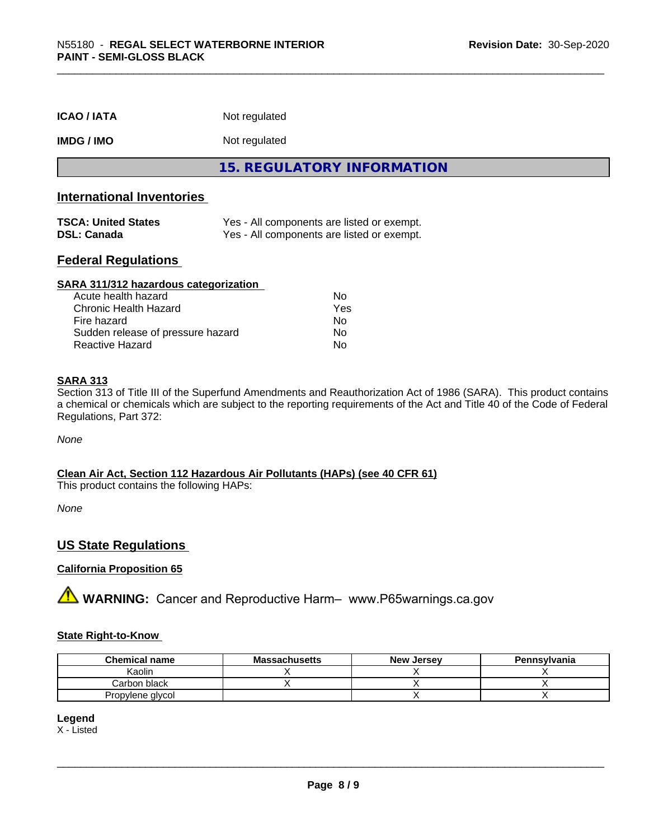| <b>ICAO / IATA</b>               | Not regulated                            |
|----------------------------------|------------------------------------------|
| <b>IMDG / IMO</b>                | Not regulated                            |
|                                  | <b>15. REGULATORY INFORMATION</b>        |
| <b>International Inventories</b> |                                          |
| <b>TOO ALL INSTERNATIONS</b>     | Vee All especiente are listed ar avenuet |

| <b>TSCA: United States</b> | Yes - All components are listed or exempt. |
|----------------------------|--------------------------------------------|
| <b>DSL: Canada</b>         | Yes - All components are listed or exempt. |

### **Federal Regulations**

| SARA 311/312 hazardous categorization |     |  |
|---------------------------------------|-----|--|
| Acute health hazard                   | Nο  |  |
| Chronic Health Hazard                 | Yes |  |
| Fire hazard                           | Nο  |  |
| Sudden release of pressure hazard     | No  |  |
| Reactive Hazard                       | No  |  |

### **SARA 313**

Section 313 of Title III of the Superfund Amendments and Reauthorization Act of 1986 (SARA). This product contains a chemical or chemicals which are subject to the reporting requirements of the Act and Title 40 of the Code of Federal Regulations, Part 372:

*None*

### **Clean Air Act,Section 112 Hazardous Air Pollutants (HAPs) (see 40 CFR 61)**

This product contains the following HAPs:

*None*

### **US State Regulations**

### **California Proposition 65**

**A** WARNING: Cancer and Reproductive Harm– www.P65warnings.ca.gov

### **State Right-to-Know**

| <b>Chemical name</b> | <b>Massachusetts</b> | <b>New Jersey</b> | Pennsylvania |
|----------------------|----------------------|-------------------|--------------|
| Kaolin               |                      |                   |              |
| Carbon black         |                      |                   |              |
| Propylene glycol     |                      |                   |              |

**Legend**

X - Listed